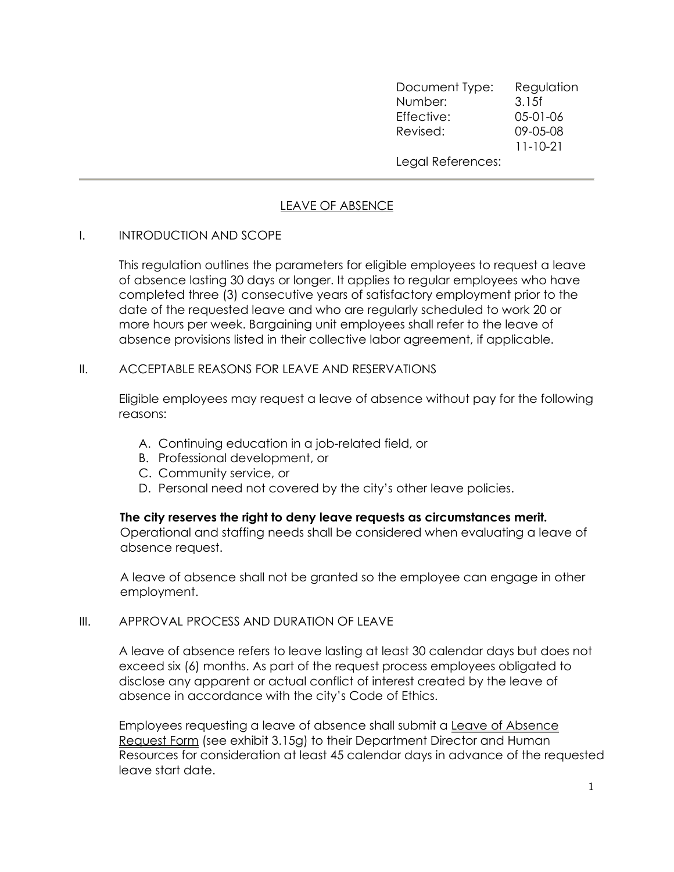Document Type: Regulation Number: 3.15f Effective: 05-01-06 Revised: 09-05-08 11-10-21 Legal References:

## LEAVE OF ABSENCE

## I. INTRODUCTION AND SCOPE

 This regulation outlines the parameters for eligible employees to request a leave of absence lasting 30 days or longer. It applies to regular employees who have completed three (3) consecutive years of satisfactory employment prior to the date of the requested leave and who are regularly scheduled to work 20 or more hours per week. Bargaining unit employees shall refer to the leave of absence provisions listed in their collective labor agreement, if applicable.

#### II. ACCEPTABLE REASONS FOR LEAVE AND RESERVATIONS

Eligible employees may request a leave of absence without pay for the following reasons:

- A. Continuing education in a job-related field, or
- B. Professional development, or
- C. Community service, or
- D. Personal need not covered by the city's other leave policies.

#### The city reserves the right to deny leave requests as circumstances merit.

Operational and staffing needs shall be considered when evaluating a leave of absence request.

A leave of absence shall not be granted so the employee can engage in other employment.

#### III. APPROVAL PROCESS AND DURATION OF LEAVE

A leave of absence refers to leave lasting at least 30 calendar days but does not exceed six (6) months. As part of the request process employees obligated to disclose any apparent or actual conflict of interest created by the leave of absence in accordance with the city's Code of Ethics.

Employees requesting a leave of absence shall submit a Leave of Absence Request Form (see exhibit 3.15g) to their Department Director and Human Resources for consideration at least 45 calendar days in advance of the requested leave start date.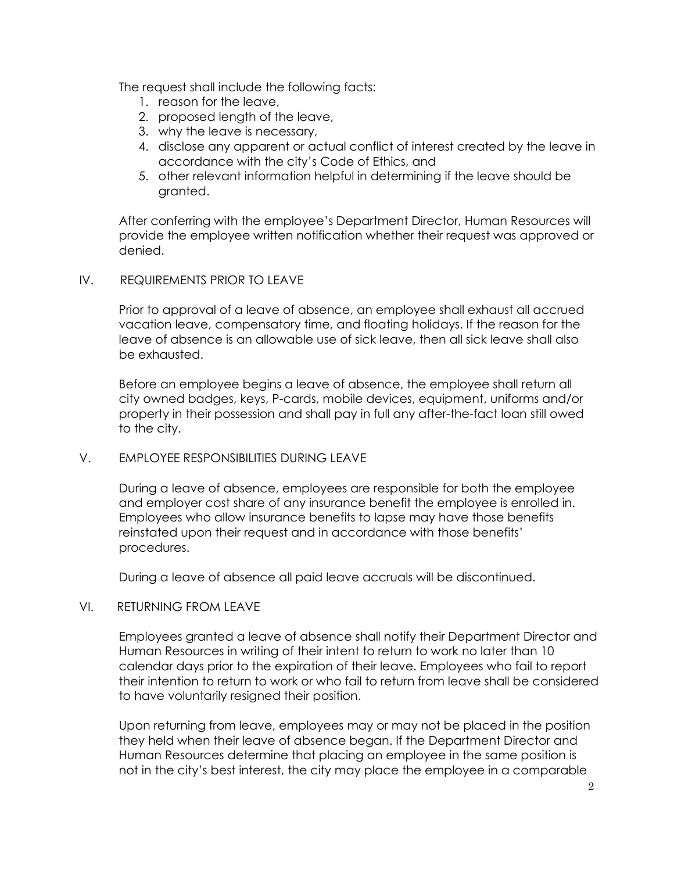The request shall include the following facts:

- 1. reason for the leave,
- 2. proposed length of the leave,
- 3. why the leave is necessary,
- 4. disclose any apparent or actual conflict of interest created by the leave in accordance with the city's Code of Ethics, and
- 5. other relevant information helpful in determining if the leave should be granted.

After conferring with the employee's Department Director, Human Resources will provide the employee written notification whether their request was approved or denied.

#### IV. REQUIREMENTS PRIOR TO LEAVE

Prior to approval of a leave of absence, an employee shall exhaust all accrued vacation leave, compensatory time, and floating holidays. If the reason for the leave of absence is an allowable use of sick leave, then all sick leave shall also be exhausted.

Before an employee begins a leave of absence, the employee shall return all city owned badges, keys, P-cards, mobile devices, equipment, uniforms and/or property in their possession and shall pay in full any after-the-fact loan still owed to the city.

## V. EMPLOYEE RESPONSIBILITIES DURING LEAVE

During a leave of absence, employees are responsible for both the employee and employer cost share of any insurance benefit the employee is enrolled in. Employees who allow insurance benefits to lapse may have those benefits reinstated upon their request and in accordance with those benefits' procedures.

During a leave of absence all paid leave accruals will be discontinued.

## VI. RETURNING FROM LEAVE

Employees granted a leave of absence shall notify their Department Director and Human Resources in writing of their intent to return to work no later than 10 calendar days prior to the expiration of their leave. Employees who fail to report their intention to return to work or who fail to return from leave shall be considered to have voluntarily resigned their position.

Upon returning from leave, employees may or may not be placed in the position they held when their leave of absence began. If the Department Director and Human Resources determine that placing an employee in the same position is not in the city's best interest, the city may place the employee in a comparable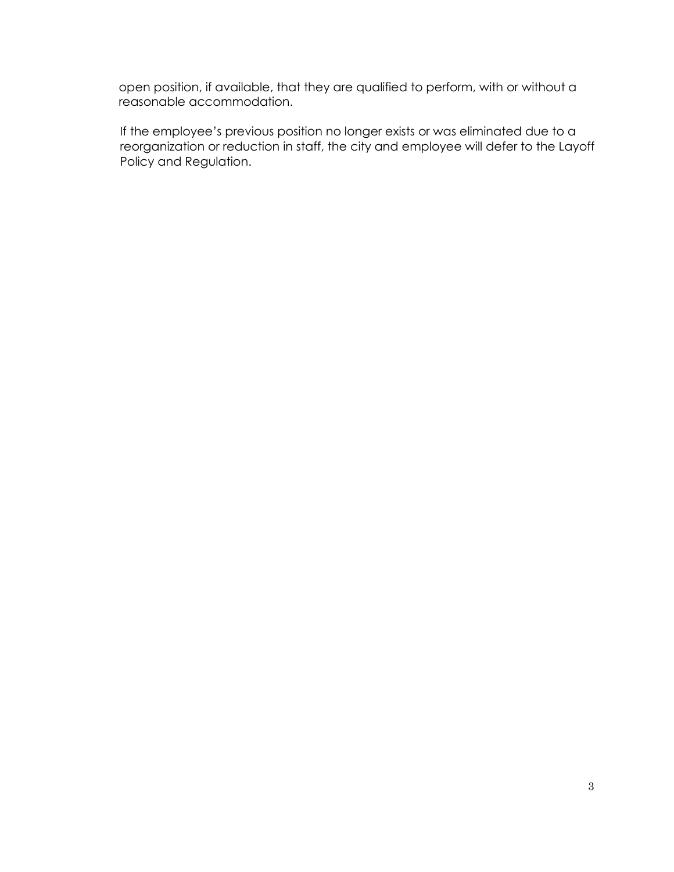open position, if available, that they are qualified to perform, with or without a reasonable accommodation.

 If the employee's previous position no longer exists or was eliminated due to a reorganization or reduction in staff, the city and employee will defer to the Layoff Policy and Regulation.